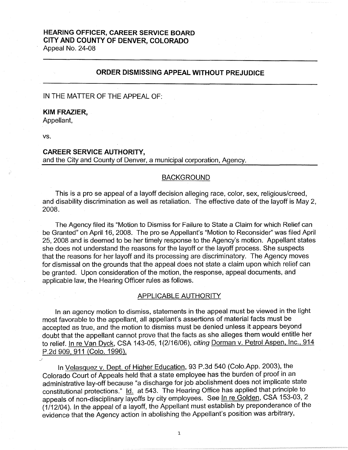# **HEARING OFFICER, CAREER SERVICE BOARD CITY AND COUNTY OF DENVER, COLORADO**

Appeal No. 24-08

# **ORDER DISMISSING APPEAL WITHOUT PREJUDICE**

IN THE MATTER OF THE APPEAL OF:

# **KIM FRAZIER,**

Appellant,

vs.

*J* 

# **CAREER SERVICE AUTHORITY,**

and the City and County of Denver, a municipal corporation, Agency.

# BACKGROUND

This is a pro se appeal of a layoff decision alleging race, color, sex, religious/creed, and disability discrimination as well as retaliation. The effective date of the layoff is May 2, 2008.

The Agency filed its "Motion to Dismiss for Failure to State a Claim for which Relief can be Granted" on April 16, 2008. The pro se Appellant's "Motion to Reconsider'' was filed April 25, 2008 and is deemed to be her timely response to the Agency's motion. Appellant states she does not understand the reasons for the layoff or the layoff process. She suspects that the reasons for her layoff and its processing are discriminatory. The Agency moves for dismissal on the grounds that the appeal does not state a claim upon which relief can be granted. Upon consideration of the motion, the response, appeal documents, and applicable law, the Hearing Officer rules as follows.

## APPLICABLE AUTHORITY

In an agency motion to dismiss, statements in the appeal must be viewed in the light most favorable to the appellant, all appellant's assertions of material facts must be accepted as true, and the motion to dismiss must be denied unless it appears beyond doubt that the appellant cannot prove that the facts as she alleges them would entitle her to relief. In re Van Dyck, CSA 143-05, 1(2/16/06), citing Dorman v. Petrol Aspen, Inc., 914 P.2d 909,911 (Colo. 1996).

In Velasquez v. Dept. of Higher Education, 93 P.3d 540 (Colo.App. 2003), the Colorado Court of Appeals held that a state employee has the burden of proof in an administrative lay-off because "a discharge for job abolishment does not implicate state constitutional protections." Id. at 543. The Hearing Office has applied that principle to appeals of non-disciplinary layoffs by city employees. See In re Golden, CSA 153-03, 2 (1/12/04). In the appeal of a layoff, the Appellant must establish by preponderance of the evidence that the Agency action in abolishing the Appellant's position was arbitrary,

1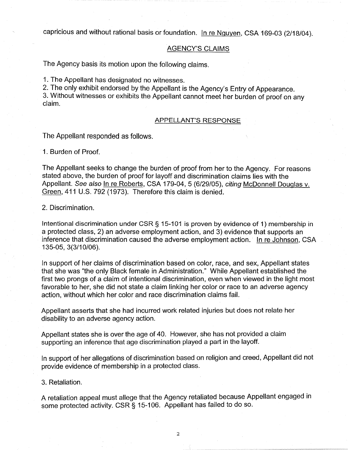capricious and without rational basis or foundation. In re Nguyen, CSA 169-03 (2/18/04 ).

### AGENCY'S CLAIMS

The Agency basis its motion upon the following claims.

1. The Appellant has designated no witnesses.

2. The only exhibit endorsed by the Appellant is the Agency's Entry of Appearance.

3. Without witnesses or exhibits the Appellant cannot meet her burden of proof on any claim.

### **APPELLANT'S RESPONSE**

The Appellant responded as follows.

1. Burden of Proof.

The Appellant seeks to change the burden of proof from her to the Agency. For reasons stated above, the burden of proof for layoff and discrimination claims lies with the Appellant. See also In re Roberts, CSA 179-04, 5 (6/29/05), citing McDonnell Douglas v. Green, 411 U.S. 792 (1973). Therefore this claim is denied.

2. Discrimination.

Intentional discrimination under CSR§ 15-101 is proven by evidence of 1) membership in a protected class, 2) an adverse employment action, and 3) evidence that supports an inference that discrimination caused the adverse employment action. In re Johnson, CSA 135-05, 3(3/10/06).

In support of her claims of discrimination based on color, race, and sex, Appellant states that she was "the only Black female in Administration." While Appellant established the first two prongs of a claim of intentional discrimination, even when viewed in the light most favorable to her, she did not state a claim linking her color or race to an adverse agency action, without which her color and race discrimination claims fail.

Appellant asserts that she had incurred work related injuries but does not relate her disability to an adverse agency action.

Appellant states she is over the age of 40. However, she has not provided a claim supporting an inference that age discrimination played a part in the layoff.

In support of her allegations of discrimination based on religion and creed, Appellant did not provide evidence of membership in a protected class.

3. Retaliation.

A retaliation appeal must allege that the Agency retaliated because Appellant engaged in some protected activity. CSR § 15-106. Appellant has failed to do so.